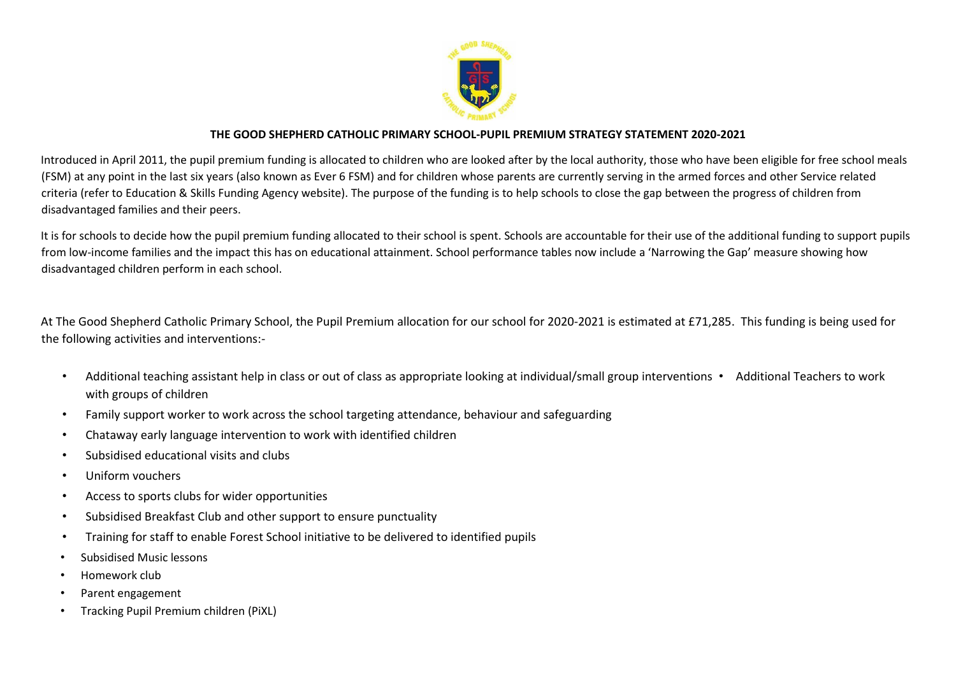

### **THE GOOD SHEPHERD CATHOLIC PRIMARY SCHOOL-PUPIL PREMIUM STRATEGY STATEMENT 2020-2021**

Introduced in April 2011, the pupil premium funding is allocated to children who are looked after by the local authority, those who have been eligible for free school meals (FSM) at any point in the last six years (also known as Ever 6 FSM) and for children whose parents are currently serving in the armed forces and other Service related criteria (refer to Education & Skills Funding Agency website). The purpose of the funding is to help schools to close the gap between the progress of children from disadvantaged families and their peers.

It is for schools to decide how the pupil premium funding allocated to their school is spent. Schools are accountable for their use of the additional funding to support pupils from low-income families and the impact this has on educational attainment. School performance tables now include a 'Narrowing the Gap' measure showing how disadvantaged children perform in each school.

At The Good Shepherd Catholic Primary School, the Pupil Premium allocation for our school for 2020-2021 is estimated at £71,285. This funding is being used for the following activities and interventions:-

- Additional teaching assistant help in class or out of class as appropriate looking at individual/small group interventions Additional Teachers to work with groups of children
- Family support worker to work across the school targeting attendance, behaviour and safeguarding
- Chataway early language intervention to work with identified children
- Subsidised educational visits and clubs
- Uniform vouchers
- Access to sports clubs for wider opportunities
- Subsidised Breakfast Club and other support to ensure punctuality
- Training for staff to enable Forest School initiative to be delivered to identified pupils
- Subsidised Music lessons
- Homework club
- Parent engagement
- Tracking Pupil Premium children (PiXL)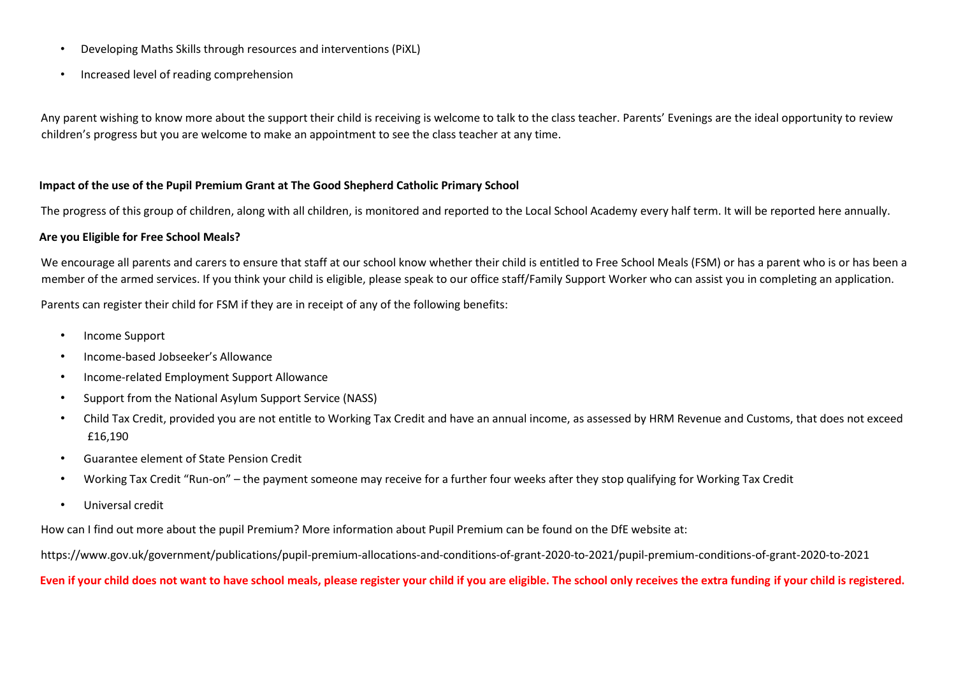- Developing Maths Skills through resources and interventions (PiXL)
- Increased level of reading comprehension

Any parent wishing to know more about the support their child is receiving is welcome to talk to the class teacher. Parents' Evenings are the ideal opportunity to review children's progress but you are welcome to make an appointment to see the class teacher at any time.

#### **Impact of the use of the Pupil Premium Grant at The Good Shepherd Catholic Primary School**

The progress of this group of children, along with all children, is monitored and reported to the Local School Academy every half term. It will be reported here annually.

#### **Are you Eligible for Free School Meals?**

We encourage all parents and carers to ensure that staff at our school know whether their child is entitled to Free School Meals (FSM) or has a parent who is or has been a member of the armed services. If you think your child is eligible, please speak to our office staff/Family Support Worker who can assist you in completing an application.

Parents can register their child for FSM if they are in receipt of any of the following benefits:

- Income Support
- Income-based Jobseeker's Allowance
- Income-related Employment Support Allowance
- Support from the National Asylum Support Service (NASS)
- Child Tax Credit, provided you are not entitle to Working Tax Credit and have an annual income, as assessed by HRM Revenue and Customs, that does not exceed £16,190
- Guarantee element of State Pension Credit
- Working Tax Credit "Run-on" the payment someone may receive for a further four weeks after they stop qualifying for Working Tax Credit
- Universal credit

How can I find out more about the pupil Premium? More information about Pupil Premium can be found on the DfE website at:

https://www.gov.uk/government/publications/pupil-premium-allocations-and-conditions-of-grant-2020-to-2021/pupil-premium-conditions-of-grant-2020-to-2021

#### **Even if your child does not want to have school meals, please register your child if you are eligible. The school only receives the extra funding if your child is registered.**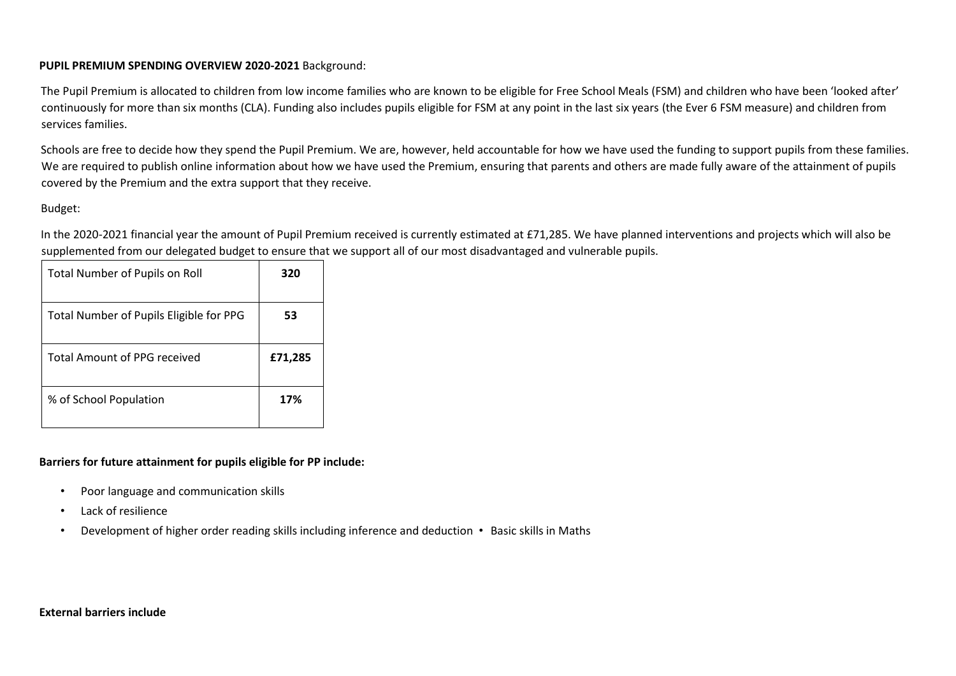### **PUPIL PREMIUM SPENDING OVERVIEW 2020-2021** Background:

The Pupil Premium is allocated to children from low income families who are known to be eligible for Free School Meals (FSM) and children who have been 'looked after' continuously for more than six months (CLA). Funding also includes pupils eligible for FSM at any point in the last six years (the Ever 6 FSM measure) and children from services families.

Schools are free to decide how they spend the Pupil Premium. We are, however, held accountable for how we have used the funding to support pupils from these families. We are required to publish online information about how we have used the Premium, ensuring that parents and others are made fully aware of the attainment of pupils covered by the Premium and the extra support that they receive.

## Budget:

In the 2020-2021 financial year the amount of Pupil Premium received is currently estimated at £71,285. We have planned interventions and projects which will also be supplemented from our delegated budget to ensure that we support all of our most disadvantaged and vulnerable pupils.

| <b>Total Number of Pupils on Roll</b>   | 320     |
|-----------------------------------------|---------|
| Total Number of Pupils Eligible for PPG | 53      |
| <b>Total Amount of PPG received</b>     | £71,285 |
| % of School Population                  | 17%     |

## **Barriers for future attainment for pupils eligible for PP include:**

- Poor language and communication skills
- Lack of resilience
- Development of higher order reading skills including inference and deduction Basic skills in Maths

#### **External barriers include**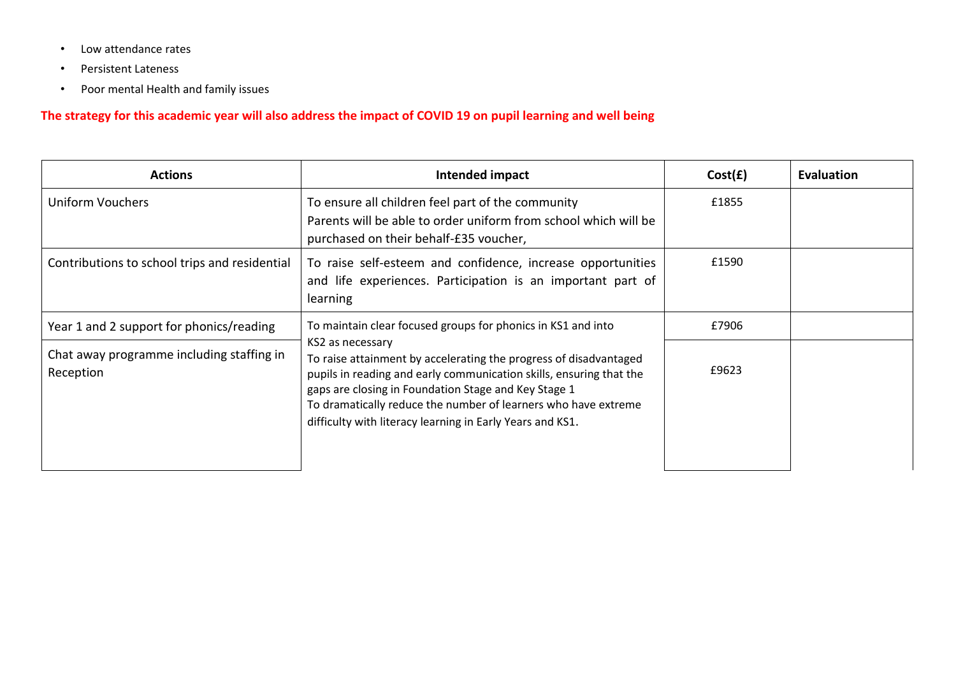- Low attendance rates
- Persistent Lateness
- Poor mental Health and family issues

## **The strategy for this academic year will also address the impact of COVID 19 on pupil learning and well being**

| <b>Actions</b>                                         | Intended impact                                                                                                                                                                                                                                                                                                                                     | Cost(E) | Evaluation |
|--------------------------------------------------------|-----------------------------------------------------------------------------------------------------------------------------------------------------------------------------------------------------------------------------------------------------------------------------------------------------------------------------------------------------|---------|------------|
| <b>Uniform Vouchers</b>                                | To ensure all children feel part of the community<br>Parents will be able to order uniform from school which will be<br>purchased on their behalf-£35 voucher,                                                                                                                                                                                      | £1855   |            |
| Contributions to school trips and residential          | To raise self-esteem and confidence, increase opportunities<br>and life experiences. Participation is an important part of<br>learning                                                                                                                                                                                                              | £1590   |            |
| Year 1 and 2 support for phonics/reading               | To maintain clear focused groups for phonics in KS1 and into                                                                                                                                                                                                                                                                                        | £7906   |            |
| Chat away programme including staffing in<br>Reception | KS2 as necessary<br>To raise attainment by accelerating the progress of disadvantaged<br>pupils in reading and early communication skills, ensuring that the<br>gaps are closing in Foundation Stage and Key Stage 1<br>To dramatically reduce the number of learners who have extreme<br>difficulty with literacy learning in Early Years and KS1. | £9623   |            |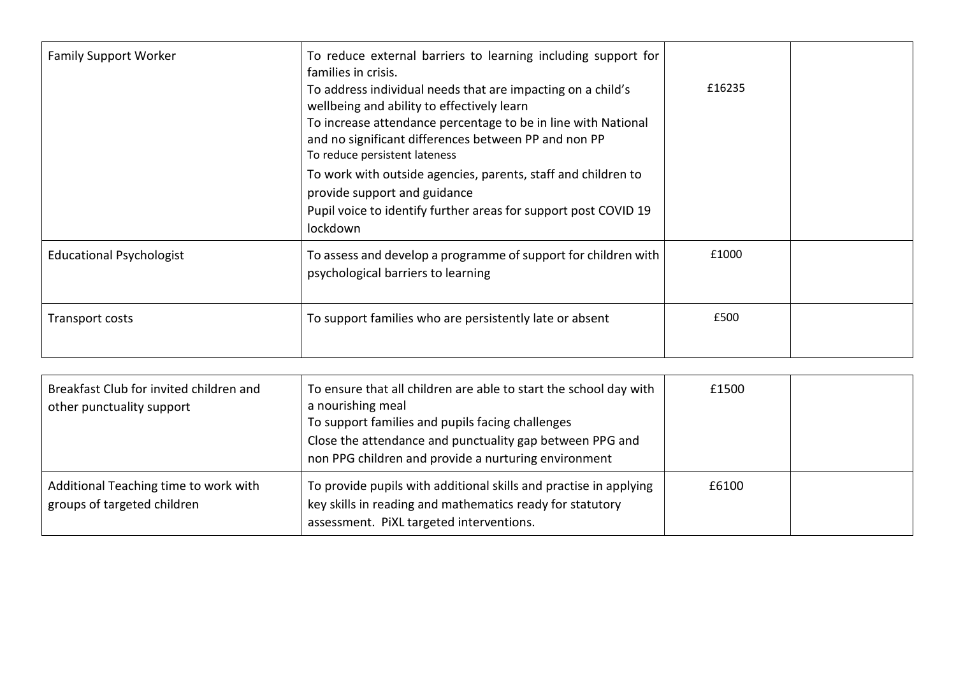| <b>Family Support Worker</b>    | To reduce external barriers to learning including support for<br>families in crisis.<br>To address individual needs that are impacting on a child's<br>wellbeing and ability to effectively learn<br>To increase attendance percentage to be in line with National<br>and no significant differences between PP and non PP<br>To reduce persistent lateness<br>To work with outside agencies, parents, staff and children to<br>provide support and guidance<br>Pupil voice to identify further areas for support post COVID 19<br>lockdown | £16235 |  |
|---------------------------------|---------------------------------------------------------------------------------------------------------------------------------------------------------------------------------------------------------------------------------------------------------------------------------------------------------------------------------------------------------------------------------------------------------------------------------------------------------------------------------------------------------------------------------------------|--------|--|
| <b>Educational Psychologist</b> | To assess and develop a programme of support for children with<br>psychological barriers to learning                                                                                                                                                                                                                                                                                                                                                                                                                                        | £1000  |  |
| Transport costs                 | To support families who are persistently late or absent                                                                                                                                                                                                                                                                                                                                                                                                                                                                                     | £500   |  |

| Breakfast Club for invited children and<br>other punctuality support | To ensure that all children are able to start the school day with<br>a nourishing meal<br>To support families and pupils facing challenges<br>Close the attendance and punctuality gap between PPG and<br>non PPG children and provide a nurturing environment | £1500 |  |
|----------------------------------------------------------------------|----------------------------------------------------------------------------------------------------------------------------------------------------------------------------------------------------------------------------------------------------------------|-------|--|
| Additional Teaching time to work with<br>groups of targeted children | To provide pupils with additional skills and practise in applying<br>key skills in reading and mathematics ready for statutory<br>assessment. PiXL targeted interventions.                                                                                     | £6100 |  |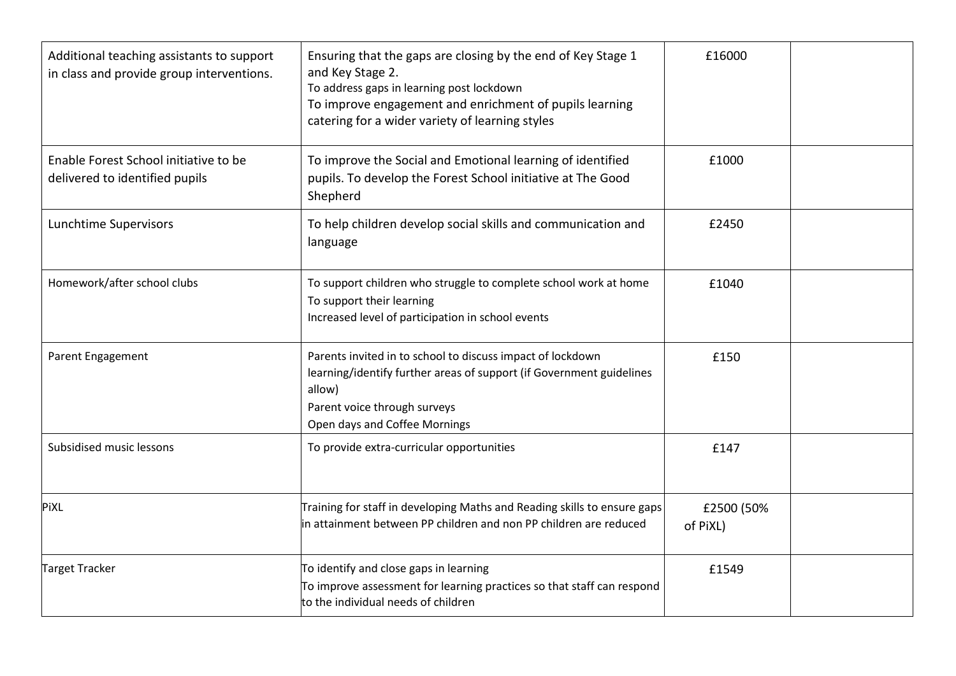| Additional teaching assistants to support<br>in class and provide group interventions. | Ensuring that the gaps are closing by the end of Key Stage 1<br>and Key Stage 2.<br>To address gaps in learning post lockdown<br>To improve engagement and enrichment of pupils learning<br>catering for a wider variety of learning styles | £16000                 |  |
|----------------------------------------------------------------------------------------|---------------------------------------------------------------------------------------------------------------------------------------------------------------------------------------------------------------------------------------------|------------------------|--|
| Enable Forest School initiative to be<br>delivered to identified pupils                | To improve the Social and Emotional learning of identified<br>pupils. To develop the Forest School initiative at The Good<br>Shepherd                                                                                                       | £1000                  |  |
| Lunchtime Supervisors                                                                  | To help children develop social skills and communication and<br>language                                                                                                                                                                    | £2450                  |  |
| Homework/after school clubs                                                            | To support children who struggle to complete school work at home<br>To support their learning<br>Increased level of participation in school events                                                                                          | £1040                  |  |
| <b>Parent Engagement</b>                                                               | Parents invited in to school to discuss impact of lockdown<br>learning/identify further areas of support (if Government guidelines<br>allow)<br>Parent voice through surveys<br>Open days and Coffee Mornings                               | £150                   |  |
| Subsidised music lessons                                                               | To provide extra-curricular opportunities                                                                                                                                                                                                   | £147                   |  |
| PiXL                                                                                   | Training for staff in developing Maths and Reading skills to ensure gaps<br>in attainment between PP children and non PP children are reduced                                                                                               | £2500 (50%<br>of PiXL) |  |
| Target Tracker                                                                         | To identify and close gaps in learning<br>To improve assessment for learning practices so that staff can respond<br>to the individual needs of children                                                                                     | £1549                  |  |